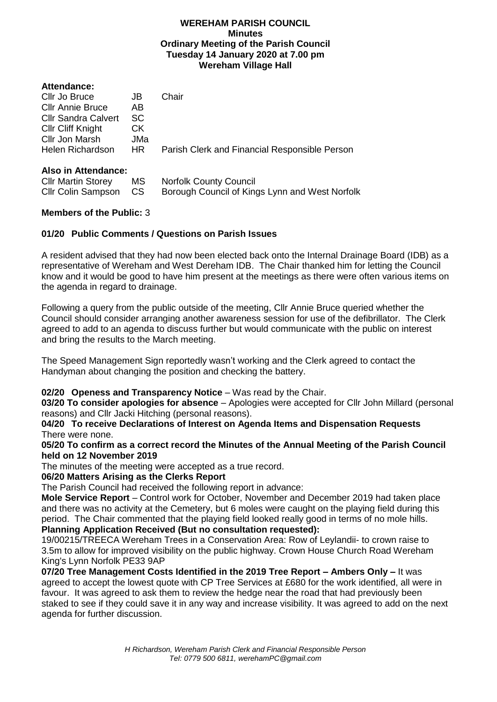### **WEREHAM PARISH COUNCIL Minutes Ordinary Meeting of the Parish Council Tuesday 14 January 2020 at 7.00 pm Wereham Village Hall**

| <b>Attendance:</b>         |           |                                                |
|----------------------------|-----------|------------------------------------------------|
| Cllr Jo Bruce              | JB        | Chair                                          |
| <b>Cllr Annie Bruce</b>    | AB        |                                                |
| <b>Cllr Sandra Calvert</b> | <b>SC</b> |                                                |
| <b>CIIr Cliff Knight</b>   | СK        |                                                |
| Cllr Jon Marsh             | JMa       |                                                |
| Helen Richardson           | HR.       | Parish Clerk and Financial Responsible Person  |
| Also in Attendance:        |           |                                                |
| <b>CIIr Martin Storey</b>  | МS        | <b>Norfolk County Council</b>                  |
| <b>Cllr Colin Sampson</b>  | <b>CS</b> | Borough Council of Kings Lynn and West Norfolk |
|                            |           |                                                |

# **Members of the Public:** 3

# **01/20 Public Comments / Questions on Parish Issues**

A resident advised that they had now been elected back onto the Internal Drainage Board (IDB) as a representative of Wereham and West Dereham IDB. The Chair thanked him for letting the Council know and it would be good to have him present at the meetings as there were often various items on the agenda in regard to drainage.

Following a query from the public outside of the meeting, Cllr Annie Bruce queried whether the Council should consider arranging another awareness session for use of the defibrillator. The Clerk agreed to add to an agenda to discuss further but would communicate with the public on interest and bring the results to the March meeting.

The Speed Management Sign reportedly wasn't working and the Clerk agreed to contact the Handyman about changing the position and checking the battery.

## **02/20 Openess and Transparency Notice** – Was read by the Chair.

**03/20 To consider apologies for absence** – Apologies were accepted for Cllr John Millard (personal reasons) and Cllr Jacki Hitching (personal reasons).

**04/20 To receive Declarations of Interest on Agenda Items and Dispensation Requests**  There were none.

**05/20 To confirm as a correct record the Minutes of the Annual Meeting of the Parish Council held on 12 November 2019**

The minutes of the meeting were accepted as a true record.

### **06/20 Matters Arising as the Clerks Report**

The Parish Council had received the following report in advance:

**Mole Service Report** – Control work for October, November and December 2019 had taken place and there was no activity at the Cemetery, but 6 moles were caught on the playing field during this period. The Chair commented that the playing field looked really good in terms of no mole hills. **Planning Application Received (But no consultation requested):**

19/00215/TREECA Wereham Trees in a Conservation Area: Row of Leylandii- to crown raise to 3.5m to allow for improved visibility on the public highway. Crown House Church Road Wereham King's Lynn Norfolk PE33 9AP

**07/20 Tree Management Costs Identified in the 2019 Tree Report – Ambers Only –** It was agreed to accept the lowest quote with CP Tree Services at £680 for the work identified, all were in favour. It was agreed to ask them to review the hedge near the road that had previously been staked to see if they could save it in any way and increase visibility. It was agreed to add on the next agenda for further discussion.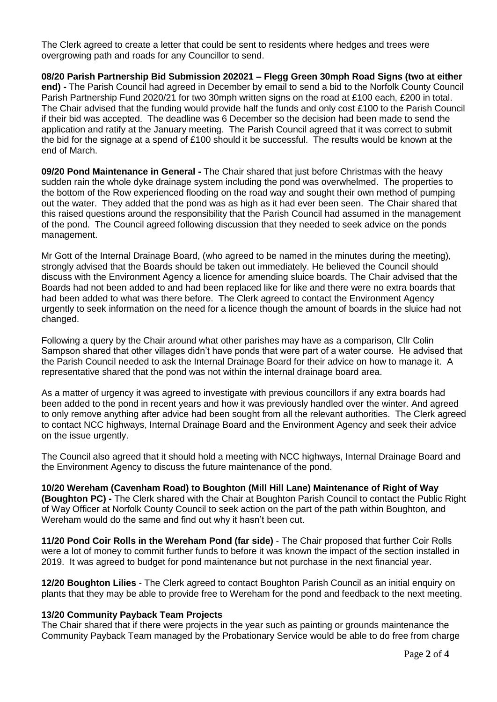The Clerk agreed to create a letter that could be sent to residents where hedges and trees were overgrowing path and roads for any Councillor to send.

**08/20 Parish Partnership Bid Submission 202021 – Flegg Green 30mph Road Signs (two at either end) -** The Parish Council had agreed in December by email to send a bid to the Norfolk County Council Parish Partnership Fund 2020/21 for two 30mph written signs on the road at £100 each, £200 in total. The Chair advised that the funding would provide half the funds and only cost £100 to the Parish Council if their bid was accepted. The deadline was 6 December so the decision had been made to send the application and ratify at the January meeting. The Parish Council agreed that it was correct to submit the bid for the signage at a spend of £100 should it be successful. The results would be known at the end of March.

**09/20 Pond Maintenance in General -** The Chair shared that just before Christmas with the heavy sudden rain the whole dyke drainage system including the pond was overwhelmed. The properties to the bottom of the Row experienced flooding on the road way and sought their own method of pumping out the water. They added that the pond was as high as it had ever been seen. The Chair shared that this raised questions around the responsibility that the Parish Council had assumed in the management of the pond. The Council agreed following discussion that they needed to seek advice on the ponds management.

Mr Gott of the Internal Drainage Board, (who agreed to be named in the minutes during the meeting), strongly advised that the Boards should be taken out immediately. He believed the Council should discuss with the Environment Agency a licence for amending sluice boards. The Chair advised that the Boards had not been added to and had been replaced like for like and there were no extra boards that had been added to what was there before. The Clerk agreed to contact the Environment Agency urgently to seek information on the need for a licence though the amount of boards in the sluice had not changed.

Following a query by the Chair around what other parishes may have as a comparison, Cllr Colin Sampson shared that other villages didn't have ponds that were part of a water course. He advised that the Parish Council needed to ask the Internal Drainage Board for their advice on how to manage it. A representative shared that the pond was not within the internal drainage board area.

As a matter of urgency it was agreed to investigate with previous councillors if any extra boards had been added to the pond in recent years and how it was previously handled over the winter. And agreed to only remove anything after advice had been sought from all the relevant authorities. The Clerk agreed to contact NCC highways, Internal Drainage Board and the Environment Agency and seek their advice on the issue urgently.

The Council also agreed that it should hold a meeting with NCC highways, Internal Drainage Board and the Environment Agency to discuss the future maintenance of the pond.

**10/20 Wereham (Cavenham Road) to Boughton (Mill Hill Lane) Maintenance of Right of Way (Boughton PC) -** The Clerk shared with the Chair at Boughton Parish Council to contact the Public Right of Way Officer at Norfolk County Council to seek action on the part of the path within Boughton, and Wereham would do the same and find out why it hasn't been cut.

**11/20 Pond Coir Rolls in the Wereham Pond (far side)** - The Chair proposed that further Coir Rolls were a lot of money to commit further funds to before it was known the impact of the section installed in 2019. It was agreed to budget for pond maintenance but not purchase in the next financial year.

**12/20 Boughton Lilies** - The Clerk agreed to contact Boughton Parish Council as an initial enquiry on plants that they may be able to provide free to Wereham for the pond and feedback to the next meeting.

### **13/20 Community Payback Team Projects**

The Chair shared that if there were projects in the year such as painting or grounds maintenance the Community Payback Team managed by the Probationary Service would be able to do free from charge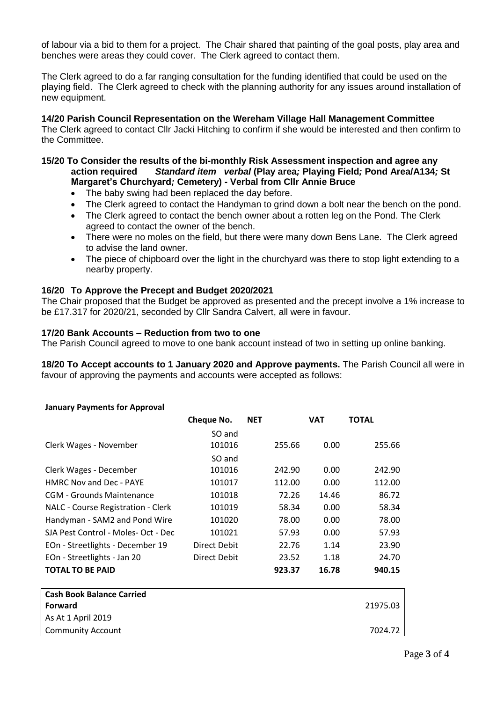of labour via a bid to them for a project. The Chair shared that painting of the goal posts, play area and benches were areas they could cover. The Clerk agreed to contact them.

The Clerk agreed to do a far ranging consultation for the funding identified that could be used on the playing field. The Clerk agreed to check with the planning authority for any issues around installation of new equipment.

**14/20 Parish Council Representation on the Wereham Village Hall Management Committee**  The Clerk agreed to contact Cllr Jacki Hitching to confirm if she would be interested and then confirm to the Committee.

## **15/20 To Consider the results of the bi-monthly Risk Assessment inspection and agree any action required** *Standard item**verbal* **(Play area***;* **Playing Field***;* **Pond Area/A134***;* **St Margaret's Churchyard***;* **Cemetery) - Verbal from Cllr Annie Bruce**

- The baby swing had been replaced the day before.
- The Clerk agreed to contact the Handyman to grind down a bolt near the bench on the pond.
- The Clerk agreed to contact the bench owner about a rotten leg on the Pond. The Clerk agreed to contact the owner of the bench.
- There were no moles on the field, but there were many down Bens Lane. The Clerk agreed to advise the land owner.
- The piece of chipboard over the light in the churchyard was there to stop light extending to a nearby property.

## **16/20 To Approve the Precept and Budget 2020/2021**

The Chair proposed that the Budget be approved as presented and the precept involve a 1% increase to be £17.317 for 2020/21, seconded by Cllr Sandra Calvert, all were in favour.

### **17/20 Bank Accounts – Reduction from two to one**

The Parish Council agreed to move to one bank account instead of two in setting up online banking.

**18/20 To Accept accounts to 1 January 2020 and Approve payments.** The Parish Council all were in favour of approving the payments and accounts were accepted as follows:

# **January Payments for Approval Cheque No. NET VAT TOTAL** Clerk Wages - November SO and 101016 255.66 0.00 255.66 Clerk Wages - December SO and 101016 242.90 0.00 242.90 HMRC Nov and Dec - PAYE 101017 112.00 0.00 112.00 CGM - Grounds Maintenance 101018 72.26 14.46 86.72 NALC - Course Registration - Clerk 101019 58.34 0.00 58.34 Handyman - SAM2 and Pond Wire 101020 78.00 0.00 78.00 SJA Pest Control - Moles- Oct - Dec 101021 57.93 0.00 57.93 EOn - Streetlights - December 19 Direct Debit 22.76 1.14 23.90 EOn - Streetlights - Jan 20 Direct Debit 23.52 1.18 24.70 **TOTAL TO BE PAID 923.37 16.78 940.15**

| <b>January Payments for Approval</b> |  |
|--------------------------------------|--|

| <b>Cash Book Balance Carried</b><br>Forward | 21975.03 |
|---------------------------------------------|----------|
| As At 1 April 2019                          |          |
| <b>Community Account</b>                    | 7024.72  |